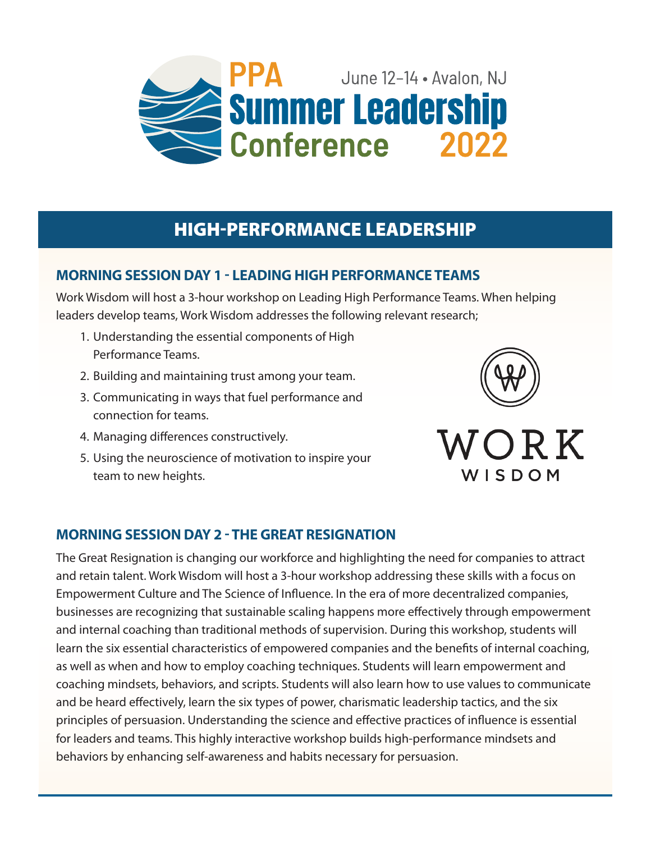

## **HIGH-PERFORMANCE LEADERSHIP**

## **MORNING SESSION DAY 1 - LEADING HIGH PERFORMANCE TEAMS**

Work Wisdom will host a 3-hour workshop on Leading High Performance Teams. When helping leaders develop teams, Work Wisdom addresses the following relevant research;

- 1. Understanding the essential components of High Performance Teams.
- 2. Building and maintaining trust among your team.
- 3. Communicating in ways that fuel performance and connection for teams.
- 4. Managing differences constructively.
- 5. Using the neuroscience of motivation to inspire your team to new heights.





## **MORNING SESSION DAY 2 - THE GREAT RESIGNATION**

The Great Resignation is changing our workforce and highlighting the need for companies to attract and retain talent. Work Wisdom will host a 3-hour workshop addressing these skills with a focus on Empowerment Culture and The Science of Influence. In the era of more decentralized companies, businesses are recognizing that sustainable scaling happens more effectively through empowerment and internal coaching than traditional methods of supervision. During this workshop, students will learn the six essential characteristics of empowered companies and the benefits of internal coaching, as well as when and how to employ coaching techniques. Students will learn empowerment and coaching mindsets, behaviors, and scripts. Students will also learn how to use values to communicate and be heard effectively, learn the six types of power, charismatic leadership tactics, and the six principles of persuasion. Understanding the science and effective practices of influence is essential for leaders and teams. This highly interactive workshop builds high-performance mindsets and behaviors by enhancing self-awareness and habits necessary for persuasion.